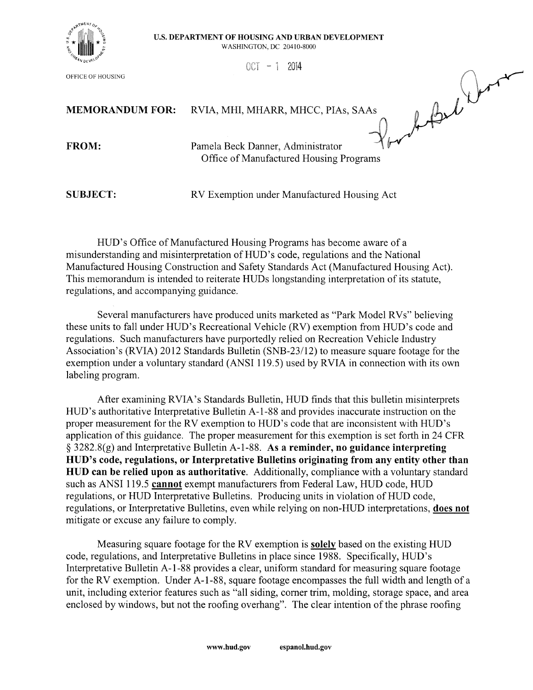

OFFICE OF HOUSING

## U.S. DEPARTMENT OF HOUSING AND URBAN DEVELOPMENT

**WASHINGTON, DC 20410-8000** 

 $0CT - 1 2014$ 

**MEMORANDUM FOR:** RVIA, MHI, MHARR, MHCC, PIAs, SAAs

FROM:

Por la Bel Dore Pamela Beck Danner, Administrator Office of Manufactured Housing Programs

**SUBJECT:** 

RV Exemption under Manufactured Housing Act

HUD's Office of Manufactured Housing Programs has become aware of a misunderstanding and misinterpretation of HUD's code, regulations and the National Manufactured Housing Construction and Safety Standards Act (Manufactured Housing Act). This memorandum is intended to reiterate HUDs longstanding interpretation of its statute. regulations, and accompanying guidance.

Several manufacturers have produced units marketed as "Park Model RVs" believing these units to fall under HUD's Recreational Vehicle (RV) exemption from HUD's code and regulations. Such manufacturers have purportedly relied on Recreation Vehicle Industry Association's (RVIA) 2012 Standards Bulletin (SNB-23/12) to measure square footage for the exemption under a voluntary standard (ANSI 119.5) used by RVIA in connection with its own labeling program.

After examining RVIA's Standards Bulletin, HUD finds that this bulletin misinterprets HUD's authoritative Interpretative Bulletin A-1-88 and provides inaccurate instruction on the proper measurement for the RV exemption to HUD's code that are inconsistent with HUD's application of this guidance. The proper measurement for this exemption is set forth in 24 CFR  $\S$  3282.8(g) and Interpretative Bulletin A-1-88. As a reminder, no guidance interpreting HUD's code, regulations, or Interpretative Bulletins originating from any entity other than HUD can be relied upon as authoritative. Additionally, compliance with a voluntary standard such as ANSI 119.5 cannot exempt manufacturers from Federal Law, HUD code, HUD regulations, or HUD Interpretative Bulletins. Producing units in violation of HUD code, regulations, or Interpretative Bulletins, even while relying on non-HUD interpretations, does not mitigate or excuse any failure to comply.

Measuring square footage for the RV exemption is solely based on the existing HUD code, regulations, and Interpretative Bulletins in place since 1988. Specifically, HUD's Interpretative Bulletin A-1-88 provides a clear, uniform standard for measuring square footage for the RV exemption. Under A-1-88, square footage encompasses the full width and length of a unit, including exterior features such as "all siding, corner trim, molding, storage space, and area enclosed by windows, but not the roofing overhang". The clear intention of the phrase roofing